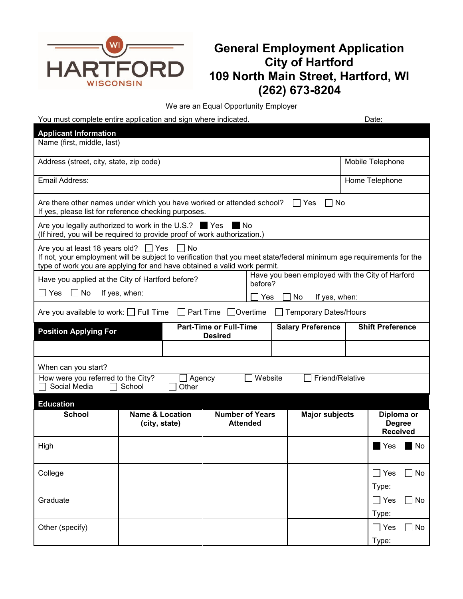

## **General Employment Application City of Hartford 109 North Main Street, Hartford, WI (262) 673-8204**

We are an Equal Opportunity Employer

| You must complete entire application and sign where indicated.                                                                                                                                                                                          |                                             |                                                 |         |                                                 |  | Date:                                          |           |  |
|---------------------------------------------------------------------------------------------------------------------------------------------------------------------------------------------------------------------------------------------------------|---------------------------------------------|-------------------------------------------------|---------|-------------------------------------------------|--|------------------------------------------------|-----------|--|
| <b>Applicant Information</b>                                                                                                                                                                                                                            |                                             |                                                 |         |                                                 |  |                                                |           |  |
| Name (first, middle, last)                                                                                                                                                                                                                              |                                             |                                                 |         |                                                 |  |                                                |           |  |
| Address (street, city, state, zip code)                                                                                                                                                                                                                 |                                             |                                                 |         |                                                 |  | Mobile Telephone                               |           |  |
| Email Address:                                                                                                                                                                                                                                          |                                             |                                                 |         |                                                 |  | Home Telephone                                 |           |  |
| Are there other names under which you have worked or attended school?<br>l IYes<br>. No<br>If yes, please list for reference checking purposes.                                                                                                         |                                             |                                                 |         |                                                 |  |                                                |           |  |
| Are you legally authorized to work in the U.S.?<br><b>Yes</b><br>l No<br>(If hired, you will be required to provide proof of work authorization.)                                                                                                       |                                             |                                                 |         |                                                 |  |                                                |           |  |
| Are you at least 18 years old? $\Box$ Yes<br>– I No<br>If not, your employment will be subject to verification that you meet state/federal minimum age requirements for the<br>type of work you are applying for and have obtained a valid work permit. |                                             |                                                 |         |                                                 |  |                                                |           |  |
| Have you applied at the City of Hartford before?                                                                                                                                                                                                        |                                             |                                                 | before? | Have you been employed with the City of Harford |  |                                                |           |  |
| $\Box$ Yes<br>$\Box$ No                                                                                                                                                                                                                                 | If yes, when:<br>Yes                        |                                                 |         | No                                              |  |                                                |           |  |
| If yes, when:<br>$\Box$ Part Time<br>$\Box$ Overtime<br>Are you available to work: $\Box$ Full Time<br><b>Temporary Dates/Hours</b>                                                                                                                     |                                             |                                                 |         |                                                 |  |                                                |           |  |
| <b>Position Applying For</b>                                                                                                                                                                                                                            |                                             | <b>Part-Time or Full-Time</b><br><b>Desired</b> |         | <b>Salary Preference</b>                        |  | <b>Shift Preference</b>                        |           |  |
|                                                                                                                                                                                                                                                         |                                             |                                                 |         |                                                 |  |                                                |           |  |
| When can you start?                                                                                                                                                                                                                                     |                                             |                                                 |         |                                                 |  |                                                |           |  |
| Website<br>Friend/Relative<br>How were you referred to the City?<br>Agency<br>Social Media<br>School<br>Other                                                                                                                                           |                                             |                                                 |         |                                                 |  |                                                |           |  |
| <b>Education</b>                                                                                                                                                                                                                                        |                                             |                                                 |         |                                                 |  |                                                |           |  |
| <b>School</b>                                                                                                                                                                                                                                           | <b>Name &amp; Location</b><br>(city, state) | <b>Number of Years</b><br><b>Attended</b>       |         | <b>Major subjects</b>                           |  | Diploma or<br><b>Degree</b><br><b>Received</b> |           |  |
| High                                                                                                                                                                                                                                                    |                                             |                                                 |         |                                                 |  | Yes                                            | l No      |  |
| College                                                                                                                                                                                                                                                 |                                             |                                                 |         |                                                 |  | $\Box$ Yes<br>Type:                            | $\Box$ No |  |
| Graduate                                                                                                                                                                                                                                                |                                             |                                                 |         |                                                 |  | $\Box$ Yes<br>Type:                            | $\Box$ No |  |
| Other (specify)                                                                                                                                                                                                                                         |                                             |                                                 |         |                                                 |  | $\Box$ Yes<br>Type:                            | No        |  |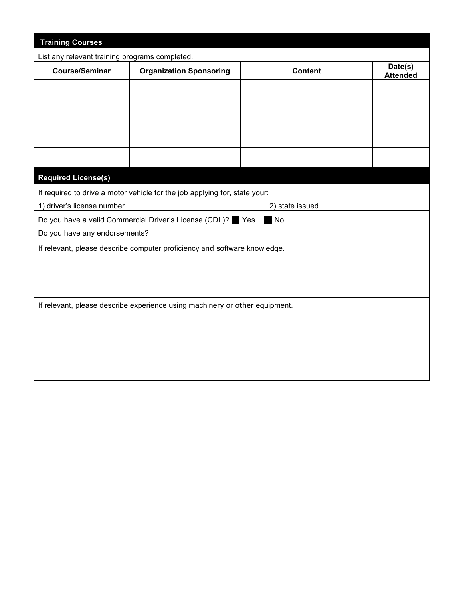| <b>Training Courses</b>                                                     |                                                  |  |                            |  |  |  |
|-----------------------------------------------------------------------------|--------------------------------------------------|--|----------------------------|--|--|--|
| List any relevant training programs completed.                              |                                                  |  |                            |  |  |  |
| <b>Course/Seminar</b>                                                       | <b>Organization Sponsoring</b><br><b>Content</b> |  | Date(s)<br><b>Attended</b> |  |  |  |
|                                                                             |                                                  |  |                            |  |  |  |
|                                                                             |                                                  |  |                            |  |  |  |
|                                                                             |                                                  |  |                            |  |  |  |
|                                                                             |                                                  |  |                            |  |  |  |
|                                                                             |                                                  |  |                            |  |  |  |
| <b>Required License(s)</b>                                                  |                                                  |  |                            |  |  |  |
| If required to drive a motor vehicle for the job applying for, state your:  |                                                  |  |                            |  |  |  |
| 1) driver's license number<br>2) state issued                               |                                                  |  |                            |  |  |  |
| Do you have a valid Commercial Driver's License (CDL)? Yes<br>No            |                                                  |  |                            |  |  |  |
| Do you have any endorsements?                                               |                                                  |  |                            |  |  |  |
| If relevant, please describe computer proficiency and software knowledge.   |                                                  |  |                            |  |  |  |
|                                                                             |                                                  |  |                            |  |  |  |
|                                                                             |                                                  |  |                            |  |  |  |
|                                                                             |                                                  |  |                            |  |  |  |
| If relevant, please describe experience using machinery or other equipment. |                                                  |  |                            |  |  |  |
|                                                                             |                                                  |  |                            |  |  |  |
|                                                                             |                                                  |  |                            |  |  |  |
|                                                                             |                                                  |  |                            |  |  |  |
|                                                                             |                                                  |  |                            |  |  |  |
|                                                                             |                                                  |  |                            |  |  |  |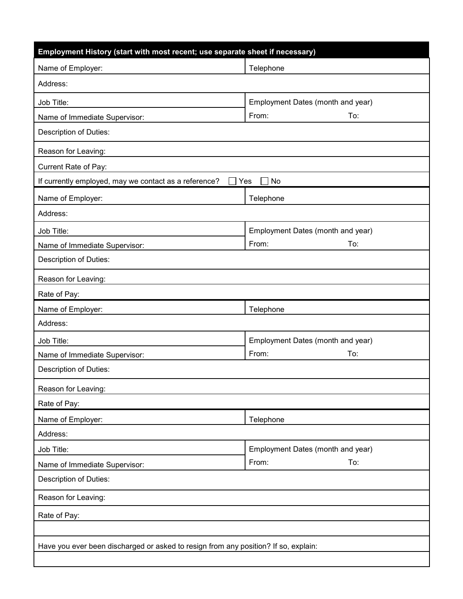| Employment History (start with most recent; use separate sheet if necessary)        |                                                   |  |  |  |  |  |
|-------------------------------------------------------------------------------------|---------------------------------------------------|--|--|--|--|--|
| Name of Employer:                                                                   | Telephone                                         |  |  |  |  |  |
| Address:                                                                            |                                                   |  |  |  |  |  |
| Job Title:                                                                          | Employment Dates (month and year)                 |  |  |  |  |  |
| Name of Immediate Supervisor:                                                       | From:<br>To:                                      |  |  |  |  |  |
| Description of Duties:                                                              |                                                   |  |  |  |  |  |
| Reason for Leaving:                                                                 |                                                   |  |  |  |  |  |
| Current Rate of Pay:                                                                |                                                   |  |  |  |  |  |
| If currently employed, may we contact as a reference?<br>No<br>Yes                  |                                                   |  |  |  |  |  |
| Name of Employer:                                                                   | Telephone                                         |  |  |  |  |  |
| Address:                                                                            |                                                   |  |  |  |  |  |
| Job Title:                                                                          | Employment Dates (month and year)                 |  |  |  |  |  |
| Name of Immediate Supervisor:                                                       | From:<br>To:                                      |  |  |  |  |  |
| Description of Duties:                                                              |                                                   |  |  |  |  |  |
| Reason for Leaving:                                                                 |                                                   |  |  |  |  |  |
| Rate of Pay:                                                                        |                                                   |  |  |  |  |  |
| Name of Employer:                                                                   | Telephone                                         |  |  |  |  |  |
| Address:                                                                            |                                                   |  |  |  |  |  |
| Job Title:                                                                          | Employment Dates (month and year)                 |  |  |  |  |  |
| Name of Immediate Supervisor:                                                       | From:<br>To:                                      |  |  |  |  |  |
| Description of Duties:                                                              |                                                   |  |  |  |  |  |
| Reason for Leaving:                                                                 |                                                   |  |  |  |  |  |
| Rate of Pay:                                                                        |                                                   |  |  |  |  |  |
| Name of Employer:                                                                   | Telephone                                         |  |  |  |  |  |
| Address:                                                                            |                                                   |  |  |  |  |  |
| Job Title:                                                                          | Employment Dates (month and year)<br>From:<br>To: |  |  |  |  |  |
| Name of Immediate Supervisor:                                                       |                                                   |  |  |  |  |  |
| <b>Description of Duties:</b>                                                       |                                                   |  |  |  |  |  |
| Reason for Leaving:                                                                 |                                                   |  |  |  |  |  |
| Rate of Pay:                                                                        |                                                   |  |  |  |  |  |
|                                                                                     |                                                   |  |  |  |  |  |
| Have you ever been discharged or asked to resign from any position? If so, explain: |                                                   |  |  |  |  |  |
|                                                                                     |                                                   |  |  |  |  |  |